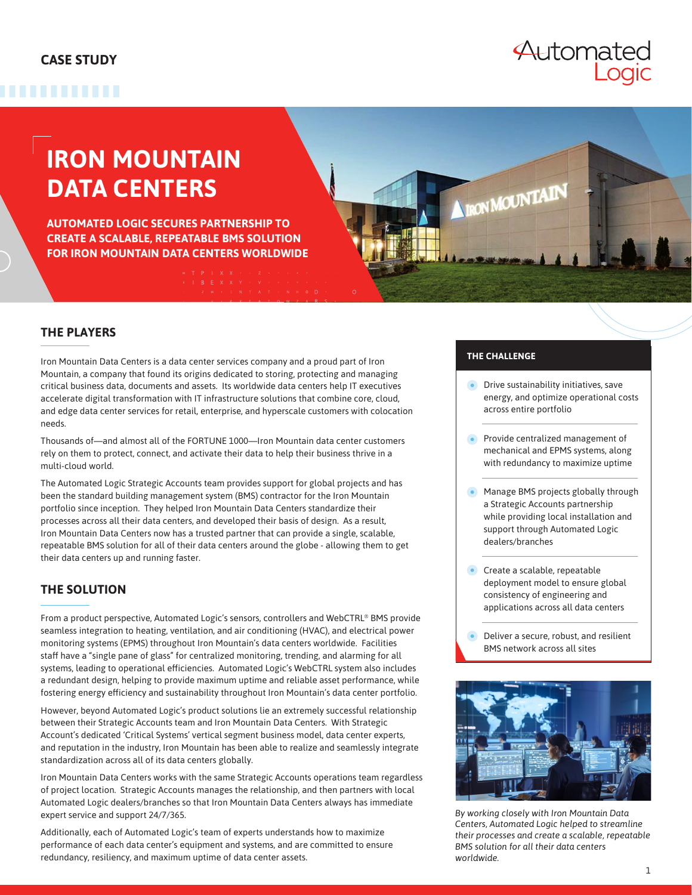#### **CASE STUDY**

## ,,,,,,,,,

Automated

# **IRON MOUNTAIN DATA CENTERS**

**AUTOMATED LOGIC SECURES PARTNERSHIP TO CREATE A SCALABLE, REPEATABLE BMS SOLUTION FOR IRON MOUNTAIN DATA CENTERS WORLDWIDE**

#### **THE PLAYERS**

Iron Mountain Data Centers is a data center services company and a proud part of Iron Mountain, a company that found its origins dedicated to storing, protecting and managing critical business data, documents and assets. Its worldwide data centers help IT executives accelerate digital transformation with IT infrastructure solutions that combine core, cloud, and edge data center services for retail, enterprise, and hyperscale customers with colocation needs.

Thousands of—and almost all of the FORTUNE 1000—Iron Mountain data center customers rely on them to protect, connect, and activate their data to help their business thrive in a multi-cloud world.

The Automated Logic Strategic Accounts team provides support for global projects and has been the standard building management system (BMS) contractor for the Iron Mountain portfolio since inception. They helped Iron Mountain Data Centers standardize their processes across all their data centers, and developed their basis of design. As a result, Iron Mountain Data Centers now has a trusted partner that can provide a single, scalable, repeatable BMS solution for all of their data centers around the globe - allowing them to get their data centers up and running faster.

### **THE SOLUTION**

From a product perspective, Automated Logic's sensors, controllers and WebCTRL® BMS provide seamless integration to heating, ventilation, and air conditioning (HVAC), and electrical power monitoring systems (EPMS) throughout Iron Mountain's data centers worldwide. Facilities staff have a "single pane of glass" for centralized monitoring, trending, and alarming for all systems, leading to operational efficiencies. Automated Logic's WebCTRL system also includes a redundant design, helping to provide maximum uptime and reliable asset performance, while fostering energy efficiency and sustainability throughout Iron Mountain's data center portfolio.

However, beyond Automated Logic's product solutions lie an extremely successful relationship between their Strategic Accounts team and Iron Mountain Data Centers. With Strategic Account's dedicated 'Critical Systems' vertical segment business model, data center experts, and reputation in the industry, Iron Mountain has been able to realize and seamlessly integrate standardization across all of its data centers globally.

Iron Mountain Data Centers works with the same Strategic Accounts operations team regardless of project location. Strategic Accounts manages the relationship, and then partners with local Automated Logic dealers/branches so that Iron Mountain Data Centers always has immediate expert service and support 24/7/365.

Additionally, each of Automated Logic's team of experts understands how to maximize performance of each data center's equipment and systems, and are committed to ensure redundancy, resiliency, and maximum uptime of data center assets.

#### **THE CHALLENGE**

**IRON MOUNTAIN** 

- **•** Drive sustainability initiatives, save energy, and optimize operational costs across entire portfolio
- Provide centralized management of mechanical and EPMS systems, along with redundancy to maximize uptime
- Manage BMS projects globally through a Strategic Accounts partnership while providing local installation and support through Automated Logic dealers/branches
- Create a scalable, repeatable deployment model to ensure global consistency of engineering and applications across all data centers
- Deliver a secure, robust, and resilient BMS network across all sites



*By working closely with Iron Mountain Data Centers, Automated Logic helped to streamline their processes and create a scalable, repeatable BMS solution for all their data centers worldwide.*